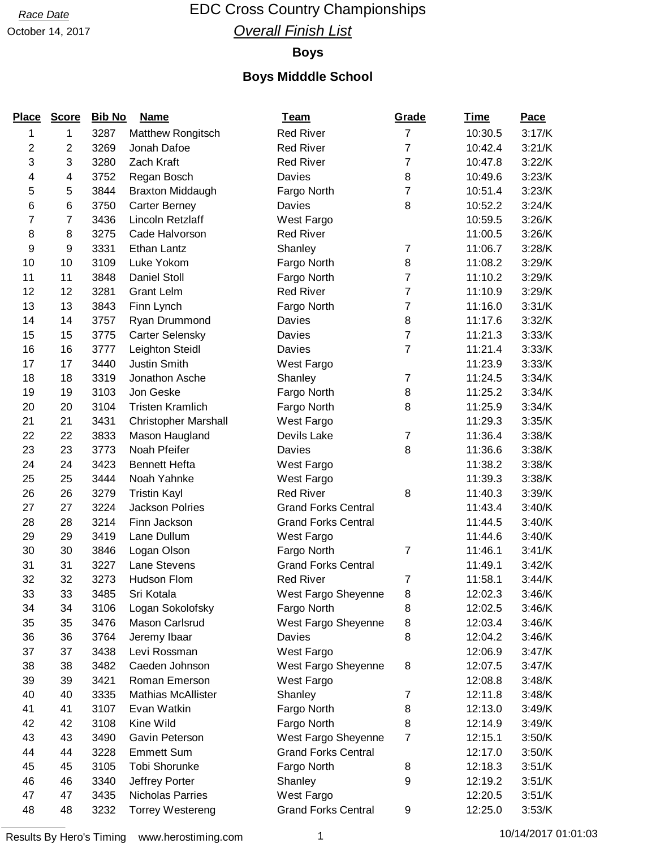## Race Date **EDC Cross Country Championships Overall Finish List**

### October 14, 2017

### **Boys**

## **Boys Midddle School**

| <b>Place</b>            | <b>Score</b>            | <b>Bib No</b> | <b>Name</b>                 | <b>Team</b>                | Grade          | <b>Time</b> | <b>Pace</b> |
|-------------------------|-------------------------|---------------|-----------------------------|----------------------------|----------------|-------------|-------------|
| 1                       | 1                       | 3287          | Matthew Rongitsch           | <b>Red River</b>           | $\overline{7}$ | 10:30.5     | 3:17/K      |
| $\overline{\mathbf{c}}$ | $\overline{\mathbf{c}}$ | 3269          | Jonah Dafoe                 | <b>Red River</b>           | 7              | 10:42.4     | 3:21/K      |
| 3                       | 3                       | 3280          | Zach Kraft                  | <b>Red River</b>           | $\overline{7}$ | 10:47.8     | 3:22/K      |
| 4                       | 4                       | 3752          | Regan Bosch                 | Davies                     | 8              | 10:49.6     | 3:23/K      |
| 5                       | 5                       | 3844          | <b>Braxton Middaugh</b>     | Fargo North                | 7              | 10:51.4     | 3:23/K      |
| 6                       | 6                       | 3750          | <b>Carter Berney</b>        | Davies                     | 8              | 10:52.2     | 3:24/K      |
| 7                       | 7                       | 3436          | Lincoln Retzlaff            | West Fargo                 |                | 10:59.5     | 3:26/K      |
| 8                       | 8                       | 3275          | Cade Halvorson              | <b>Red River</b>           |                | 11:00.5     | 3:26/K      |
| 9                       | 9                       | 3331          | Ethan Lantz                 | Shanley                    | $\overline{7}$ | 11:06.7     | 3:28/K      |
| 10                      | 10                      | 3109          | Luke Yokom                  | Fargo North                | 8              | 11:08.2     | 3:29/K      |
| 11                      | 11                      | 3848          | <b>Daniel Stoll</b>         | Fargo North                | 7              | 11:10.2     | 3:29/K      |
| 12                      | 12                      | 3281          | <b>Grant Lelm</b>           | <b>Red River</b>           | $\overline{7}$ | 11:10.9     | 3:29/K      |
| 13                      | 13                      | 3843          | Finn Lynch                  | Fargo North                | 7              | 11:16.0     | 3:31/K      |
| 14                      | 14                      | 3757          | Ryan Drummond               | Davies                     | 8              | 11:17.6     | 3:32/K      |
| 15                      | 15                      | 3775          | <b>Carter Selensky</b>      | Davies                     | $\overline{7}$ | 11:21.3     | 3:33/K      |
| 16                      | 16                      | 3777          | Leighton Steidl             | Davies                     | $\overline{7}$ | 11:21.4     | 3:33/K      |
| 17                      | 17                      | 3440          | <b>Justin Smith</b>         | West Fargo                 |                | 11:23.9     | 3:33/K      |
| 18                      | 18                      | 3319          | Jonathon Asche              | Shanley                    | $\overline{7}$ | 11:24.5     | 3:34/K      |
| 19                      | 19                      | 3103          | Jon Geske                   | Fargo North                | 8              | 11:25.2     | 3:34/K      |
| 20                      | 20                      | 3104          | <b>Tristen Kramlich</b>     | Fargo North                | 8              | 11:25.9     | 3:34/K      |
| 21                      | 21                      | 3431          | <b>Christopher Marshall</b> | West Fargo                 |                | 11:29.3     | 3:35/K      |
| 22                      | 22                      | 3833          | Mason Haugland              | Devils Lake                | 7              | 11:36.4     | 3:38/K      |
| 23                      | 23                      | 3773          | Noah Pfeifer                | Davies                     | 8              | 11:36.6     | 3:38/K      |
| 24                      | 24                      | 3423          | <b>Bennett Hefta</b>        | West Fargo                 |                | 11:38.2     | 3:38/K      |
| 25                      | 25                      | 3444          | Noah Yahnke                 | West Fargo                 |                | 11:39.3     | 3:38/K      |
| 26                      | 26                      | 3279          | <b>Tristin Kayl</b>         | <b>Red River</b>           | 8              | 11:40.3     | 3:39/K      |
| 27                      | 27                      | 3224          | <b>Jackson Polries</b>      | <b>Grand Forks Central</b> |                | 11:43.4     | 3:40/K      |
| 28                      | 28                      | 3214          | Finn Jackson                | <b>Grand Forks Central</b> |                | 11:44.5     | 3:40/K      |
| 29                      | 29                      | 3419          | Lane Dullum                 | West Fargo                 |                | 11:44.6     | 3:40/K      |
| 30                      | 30                      | 3846          | Logan Olson                 | Fargo North                | $\overline{7}$ | 11:46.1     | 3:41/K      |
| 31                      | 31                      | 3227          | Lane Stevens                | <b>Grand Forks Central</b> |                | 11:49.1     | 3:42/K      |
| 32                      | 32                      | 3273          | Hudson Flom                 | <b>Red River</b>           | 7              | 11:58.1     | 3:44/K      |
| 33                      | 33                      | 3485          | Sri Kotala                  | West Fargo Sheyenne        | 8              | 12:02.3     | 3:46/K      |
| 34                      | 34                      | 3106          | Logan Sokolofsky            | Fargo North                | 8              | 12:02.5     | 3:46/K      |
| 35                      | 35                      | 3476          | Mason Carlsrud              | West Fargo Sheyenne        | 8              | 12:03.4     | 3:46/K      |
| 36                      | 36                      | 3764          | Jeremy Ibaar                | Davies                     | 8              | 12:04.2     | 3:46/K      |
| 37                      | 37                      | 3438          | Levi Rossman                | West Fargo                 |                | 12:06.9     | 3:47/K      |
| 38                      | 38                      | 3482          | Caeden Johnson              | West Fargo Sheyenne        | 8              | 12:07.5     | 3:47/K      |
| 39                      | 39                      | 3421          | Roman Emerson               | West Fargo                 |                | 12:08.8     | 3:48/K      |
| 40                      | 40                      | 3335          | <b>Mathias McAllister</b>   | Shanley                    | $\overline{7}$ | 12:11.8     | 3:48/K      |
| 41                      | 41                      | 3107          | Evan Watkin                 | Fargo North                | 8              | 12:13.0     | 3:49/K      |
| 42                      | 42                      | 3108          | Kine Wild                   | Fargo North                | 8              | 12:14.9     | 3:49/K      |
| 43                      | 43                      | 3490          | Gavin Peterson              | West Fargo Sheyenne        | $\overline{7}$ | 12:15.1     | 3:50/K      |
| 44                      | 44                      | 3228          | <b>Emmett Sum</b>           | <b>Grand Forks Central</b> |                | 12:17.0     | 3:50/K      |
| 45                      | 45                      | 3105          | <b>Tobi Shorunke</b>        | Fargo North                | 8              | 12:18.3     | 3:51/K      |
| 46                      | 46                      | 3340          | Jeffrey Porter              | Shanley                    | 9              | 12:19.2     | 3:51/K      |
| 47                      | 47                      | 3435          | Nicholas Parries            | West Fargo                 |                | 12:20.5     | 3:51/K      |
| 48                      | 48                      | 3232          | <b>Torrey Westereng</b>     | <b>Grand Forks Central</b> | 9              | 12:25.0     | 3:53/K      |

Results By Hero's Timing www.herostiming.com 1 10/14/2017 01:01:03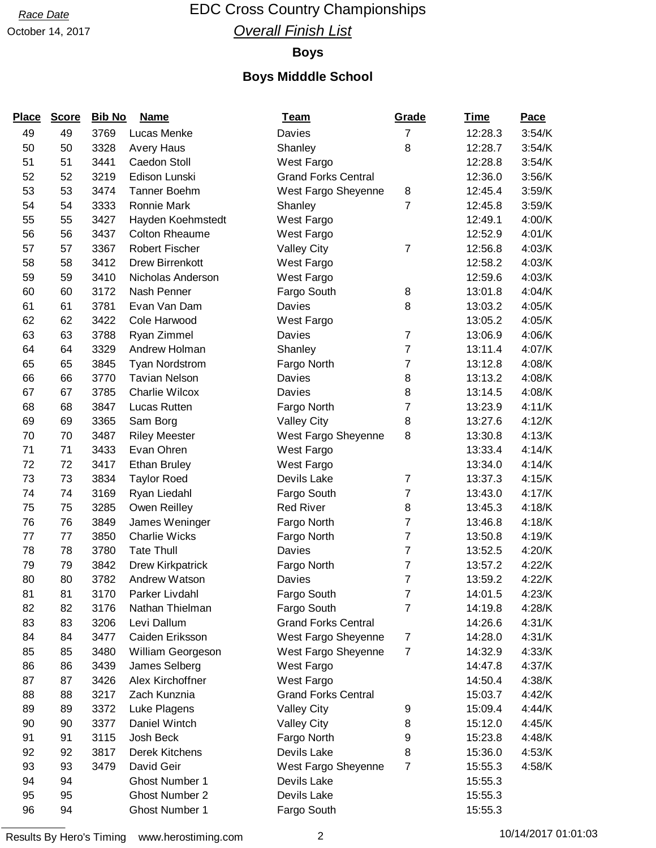# October 14, 2017

## Race Date **EDC Cross Country Championships Overall Finish List**

### **Boys**

## **Boys Midddle School**

| <b>Place</b> | <b>Score</b> | <b>Bib No</b> | <b>Name</b>            | <u>Team</u>                | Grade          | <u>Time</u> | <b>Pace</b> |
|--------------|--------------|---------------|------------------------|----------------------------|----------------|-------------|-------------|
| 49           | 49           | 3769          | Lucas Menke            | Davies                     | $\overline{7}$ | 12:28.3     | 3:54/K      |
| 50           | 50           | 3328          | <b>Avery Haus</b>      | Shanley                    | 8              | 12:28.7     | 3:54/K      |
| 51           | 51           | 3441          | Caedon Stoll           | West Fargo                 |                | 12:28.8     | 3:54/K      |
| 52           | 52           | 3219          | Edison Lunski          | <b>Grand Forks Central</b> |                | 12:36.0     | 3:56/K      |
| 53           | 53           | 3474          | <b>Tanner Boehm</b>    | West Fargo Sheyenne        | 8              | 12:45.4     | 3:59/K      |
| 54           | 54           | 3333          | <b>Ronnie Mark</b>     | Shanley                    | 7              | 12:45.8     | 3:59/K      |
| 55           | 55           | 3427          | Hayden Koehmstedt      | West Fargo                 |                | 12:49.1     | 4:00/K      |
| 56           | 56           | 3437          | <b>Colton Rheaume</b>  | West Fargo                 |                | 12:52.9     | 4:01/K      |
| 57           | 57           | 3367          | <b>Robert Fischer</b>  | <b>Valley City</b>         | 7              | 12:56.8     | 4:03/K      |
| 58           | 58           | 3412          | <b>Drew Birrenkott</b> | West Fargo                 |                | 12:58.2     | 4:03/K      |
| 59           | 59           | 3410          | Nicholas Anderson      | West Fargo                 |                | 12:59.6     | 4:03/K      |
| 60           | 60           | 3172          | Nash Penner            | Fargo South                | 8              | 13:01.8     | 4:04/K      |
| 61           | 61           | 3781          | Evan Van Dam           | Davies                     | 8              | 13:03.2     | 4:05/K      |
| 62           | 62           | 3422          | Cole Harwood           | West Fargo                 |                | 13:05.2     | 4:05/K      |
| 63           | 63           | 3788          | Ryan Zimmel            | Davies                     | $\overline{7}$ | 13:06.9     | 4:06/K      |
| 64           | 64           | 3329          | Andrew Holman          | Shanley                    | $\overline{7}$ | 13:11.4     | 4:07/K      |
| 65           | 65           | 3845          | <b>Tyan Nordstrom</b>  | Fargo North                | 7              | 13:12.8     | 4:08/K      |
| 66           | 66           | 3770          | <b>Tavian Nelson</b>   | Davies                     | 8              | 13:13.2     | 4:08/K      |
| 67           | 67           | 3785          | <b>Charlie Wilcox</b>  | Davies                     | 8              | 13:14.5     | 4:08/K      |
| 68           | 68           | 3847          | Lucas Rutten           | Fargo North                | 7              | 13:23.9     | 4:11/K      |
| 69           | 69           | 3365          | Sam Borg               | <b>Valley City</b>         | 8              | 13:27.6     | 4:12/K      |
| 70           | 70           | 3487          | <b>Riley Meester</b>   | West Fargo Sheyenne        | 8              | 13:30.8     | 4:13/K      |
| 71           | 71           | 3433          | Evan Ohren             | West Fargo                 |                | 13:33.4     | 4:14/K      |
| 72           | 72           | 3417          | <b>Ethan Bruley</b>    | West Fargo                 |                | 13:34.0     | 4:14/K      |
| 73           | 73           | 3834          | <b>Taylor Roed</b>     | Devils Lake                | 7              | 13:37.3     | 4:15/K      |
| 74           | 74           | 3169          | Ryan Liedahl           | Fargo South                | $\overline{7}$ | 13:43.0     | 4:17/K      |
| 75           | 75           | 3285          | Owen Reilley           | <b>Red River</b>           | 8              | 13:45.3     | 4:18/K      |
| 76           | 76           | 3849          | James Weninger         | Fargo North                | $\overline{7}$ | 13:46.8     | 4:18/K      |
| 77           | 77           | 3850          | <b>Charlie Wicks</b>   | Fargo North                | $\overline{7}$ | 13:50.8     | 4:19/K      |
| 78           | 78           | 3780          | <b>Tate Thull</b>      | Davies                     | $\overline{7}$ | 13:52.5     | 4:20/K      |
| 79           | 79           | 3842          | Drew Kirkpatrick       | Fargo North                | 7              | 13:57.2     | 4:22/K      |
| 80           | 80           | 3782          | Andrew Watson          | Davies                     | $\overline{7}$ | 13:59.2     | 4:22/K      |
| 81           | 81           | 3170          | Parker Livdahl         | Fargo South                | 7              | 14:01.5     | 4:23/K      |
| 82           | 82           | 3176          | Nathan Thielman        | Fargo South                | 7              | 14:19.8     | 4:28/K      |
| 83           | 83           | 3206          | Levi Dallum            | <b>Grand Forks Central</b> |                | 14:26.6     | 4:31/K      |
| 84           | 84           | 3477          | Caiden Eriksson        | West Fargo Sheyenne        | 7              | 14:28.0     | 4:31/K      |
| 85           | 85           | 3480          | William Georgeson      | West Fargo Sheyenne        | $\overline{7}$ | 14:32.9     | 4:33/K      |
| 86           | 86           | 3439          | James Selberg          | West Fargo                 |                | 14:47.8     | 4:37/K      |
| 87           | 87           | 3426          | Alex Kirchoffner       | West Fargo                 |                | 14:50.4     | 4:38/K      |
| 88           | 88           | 3217          | Zach Kunznia           | <b>Grand Forks Central</b> |                | 15:03.7     | 4:42/K      |
| 89           | 89           | 3372          | Luke Plagens           | <b>Valley City</b>         | 9              | 15:09.4     | 4:44/K      |
| 90           | 90           | 3377          | Daniel Wintch          | <b>Valley City</b>         | 8              | 15:12.0     | 4:45/K      |
| 91           | 91           | 3115          | Josh Beck              | Fargo North                | 9              | 15:23.8     | 4:48/K      |
| 92           | 92           | 3817          | Derek Kitchens         | Devils Lake                | 8              | 15:36.0     | 4:53/K      |
| 93           | 93           | 3479          | David Geir             | West Fargo Sheyenne        | $\overline{7}$ | 15:55.3     | 4:58/K      |
| 94           | 94           |               | Ghost Number 1         | Devils Lake                |                | 15:55.3     |             |
| 95           | 95           |               | <b>Ghost Number 2</b>  | Devils Lake                |                | 15:55.3     |             |
| 96           | 94           |               | Ghost Number 1         | Fargo South                |                | 15:55.3     |             |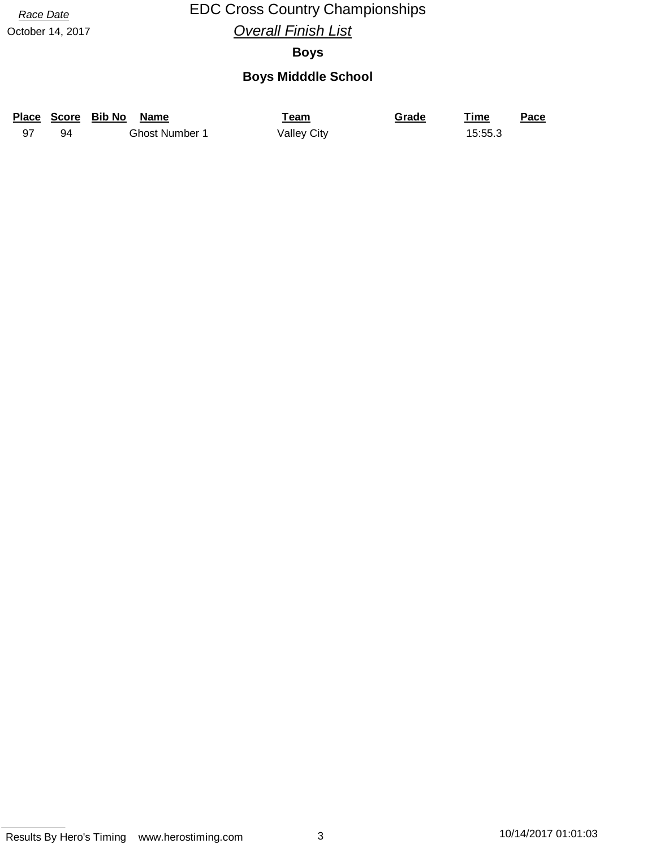## Race Date **EDC Cross Country Championships Overall Finish List**

October 14, 2017

### **Boys**

## **Boys Midddle School**

|    | Place Score Bib No<br><b>Name</b> | Team               | Grade | Time    | Pace |
|----|-----------------------------------|--------------------|-------|---------|------|
| 94 | <b>Ghost Number 1</b>             | <b>Valley City</b> |       | 15:55.3 |      |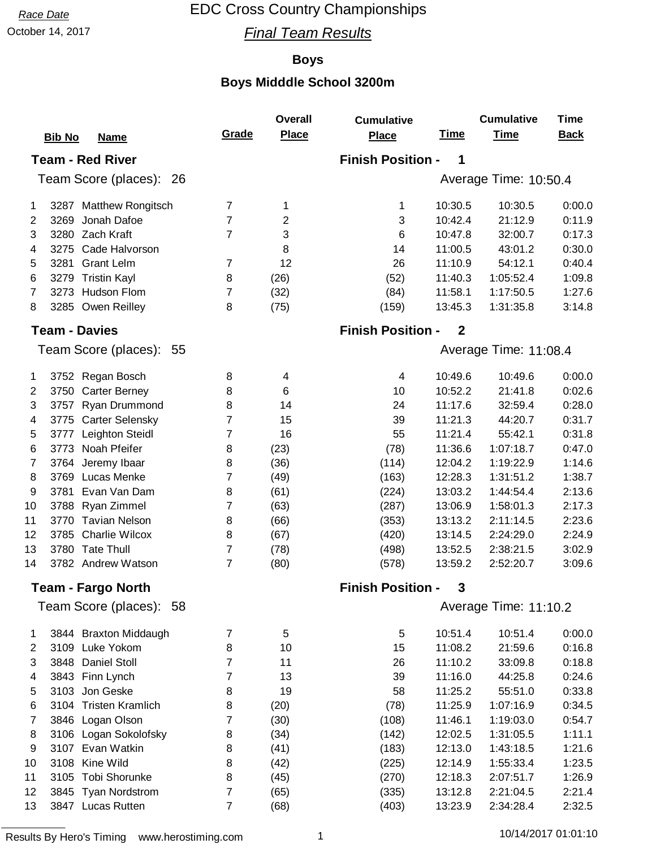October 14, 2017 **Final Team Results** 

### **Boys**

|                | <b>Bib No</b><br><b>Name</b>   | Grade          | <b>Overall</b><br><b>Place</b> | <b>Cumulative</b><br><b>Place</b> | <b>Time</b> | <b>Cumulative</b><br><b>Time</b> | <b>Time</b><br><b>Back</b> |
|----------------|--------------------------------|----------------|--------------------------------|-----------------------------------|-------------|----------------------------------|----------------------------|
|                | <b>Team - Red River</b>        |                |                                | <b>Finish Position -</b>          | 1           |                                  |                            |
|                | Team Score (places): 26        |                |                                |                                   |             | Average Time: 10:50.4            |                            |
|                |                                |                |                                |                                   |             |                                  |                            |
| 1              | 3287 Matthew Rongitsch         | $\overline{7}$ | 1                              | 1                                 | 10:30.5     | 10:30.5                          | 0:00.0                     |
| 2              | Jonah Dafoe<br>3269            | 7              | $\overline{2}$                 | 3                                 | 10:42.4     | 21:12.9                          | 0:11.9                     |
| 3              | 3280 Zach Kraft                | $\overline{7}$ | 3                              | 6                                 | 10:47.8     | 32:00.7                          | 0:17.3                     |
| 4              | 3275<br>Cade Halvorson         |                | 8                              | 14                                | 11:00.5     | 43:01.2                          | 0:30.0                     |
| 5              | 3281<br><b>Grant Lelm</b>      | $\overline{7}$ | 12                             | 26                                | 11:10.9     | 54:12.1                          | 0:40.4                     |
| 6              | <b>Tristin Kayl</b><br>3279    | 8              | (26)                           | (52)                              | 11:40.3     | 1:05:52.4                        | 1:09.8                     |
| 7              | Hudson Flom<br>3273            | 7              | (32)                           | (84)                              | 11:58.1     | 1:17:50.5                        | 1:27.6                     |
| 8              | 3285 Owen Reilley              | 8              | (75)                           | (159)                             | 13:45.3     | 1:31:35.8                        | 3:14.8                     |
|                | <b>Team - Davies</b>           |                |                                | <b>Finish Position -</b>          | $\mathbf 2$ |                                  |                            |
|                | Team Score (places): 55        |                |                                |                                   |             | Average Time: 11:08.4            |                            |
| 1              | 3752 Regan Bosch               | 8              | 4                              | 4                                 | 10:49.6     | 10:49.6                          | 0:00.0                     |
| $\overline{2}$ | 3750<br><b>Carter Berney</b>   | 8              | 6                              | 10                                | 10:52.2     | 21:41.8                          | 0:02.6                     |
| 3              | Ryan Drummond<br>3757          | 8              | 14                             | 24                                | 11:17.6     | 32:59.4                          | 0:28.0                     |
| 4              | <b>Carter Selensky</b><br>3775 | $\overline{7}$ | 15                             | 39                                | 11:21.3     | 44:20.7                          | 0:31.7                     |
| 5              | Leighton Steidl<br>3777        | $\overline{7}$ | 16                             | 55                                | 11:21.4     | 55:42.1                          | 0:31.8                     |
| 6              | Noah Pfeifer<br>3773           | 8              | (23)                           | (78)                              | 11:36.6     | 1:07:18.7                        | 0:47.0                     |
| $\overline{7}$ | Jeremy Ibaar<br>3764           | 8              | (36)                           | (114)                             | 12:04.2     | 1:19:22.9                        | 1:14.6                     |
| 8              | Lucas Menke<br>3769            | 7              | (49)                           | (163)                             | 12:28.3     | 1:31:51.2                        | 1:38.7                     |
| 9              | Evan Van Dam<br>3781           | 8              | (61)                           | (224)                             | 13:03.2     | 1:44:54.4                        | 2:13.6                     |
| 10             | Ryan Zimmel<br>3788            | 7              | (63)                           | (287)                             | 13:06.9     | 1:58:01.3                        | 2:17.3                     |
| 11             | 3770 Tavian Nelson             | 8              | (66)                           | (353)                             | 13:13.2     | 2:11:14.5                        | 2:23.6                     |
| 12             | <b>Charlie Wilcox</b><br>3785  | 8              | (67)                           | (420)                             | 13:14.5     | 2:24:29.0                        | 2:24.9                     |
| 13             | 3780 Tate Thull                | $\overline{7}$ | (78)                           | (498)                             | 13:52.5     | 2:38:21.5                        | 3:02.9                     |
| 14             | 3782 Andrew Watson             | $\overline{7}$ | (80)                           | (578)                             | 13:59.2     | 2:52:20.7                        | 3:09.6                     |
|                | Team - Fargo North             |                |                                | <b>Finish Position -</b>          | 3           |                                  |                            |
|                | Team Score (places): 58        |                |                                |                                   |             | Average Time: 11:10.2            |                            |
| 1              | 3844 Braxton Middaugh          | 7              | 5                              | 5                                 | 10:51.4     | 10:51.4                          | 0:00.0                     |
| 2              | 3109 Luke Yokom                | 8              | 10                             | 15                                | 11:08.2     | 21:59.6                          | 0:16.8                     |
| 3              | 3848<br><b>Daniel Stoll</b>    | 7              | 11                             | 26                                | 11:10.2     | 33:09.8                          | 0:18.8                     |
| 4              | 3843 Finn Lynch                | 7              | 13                             | 39                                | 11:16.0     | 44:25.8                          | 0:24.6                     |
| 5              | Jon Geske<br>3103              | 8              | 19                             | 58                                | 11:25.2     | 55:51.0                          | 0:33.8                     |
| 6              | 3104 Tristen Kramlich          | 8              | (20)                           | (78)                              | 11:25.9     | 1:07:16.9                        | 0:34.5                     |
| 7              | 3846 Logan Olson               | 7              | (30)                           | (108)                             | 11:46.1     | 1:19:03.0                        | 0:54.7                     |
| 8              | 3106 Logan Sokolofsky          | 8              | (34)                           | (142)                             | 12:02.5     | 1:31:05.5                        | 1:11.1                     |
| 9              | 3107 Evan Watkin               | 8              | (41)                           | (183)                             | 12:13.0     | 1:43:18.5                        | 1:21.6                     |
| 10             | 3108<br>Kine Wild              | 8              | (42)                           | (225)                             | 12:14.9     | 1:55:33.4                        | 1:23.5                     |
| 11             | 3105 Tobi Shorunke             | 8              | (45)                           | (270)                             | 12:18.3     | 2:07:51.7                        | 1:26.9                     |
| 12             | 3845 Tyan Nordstrom            | 7              | (65)                           | (335)                             | 13:12.8     | 2:21:04.5                        | 2:21.4                     |
| 13             | 3847 Lucas Rutten              | $\overline{7}$ | (68)                           | (403)                             | 13:23.9     | 2:34:28.4                        | 2:32.5                     |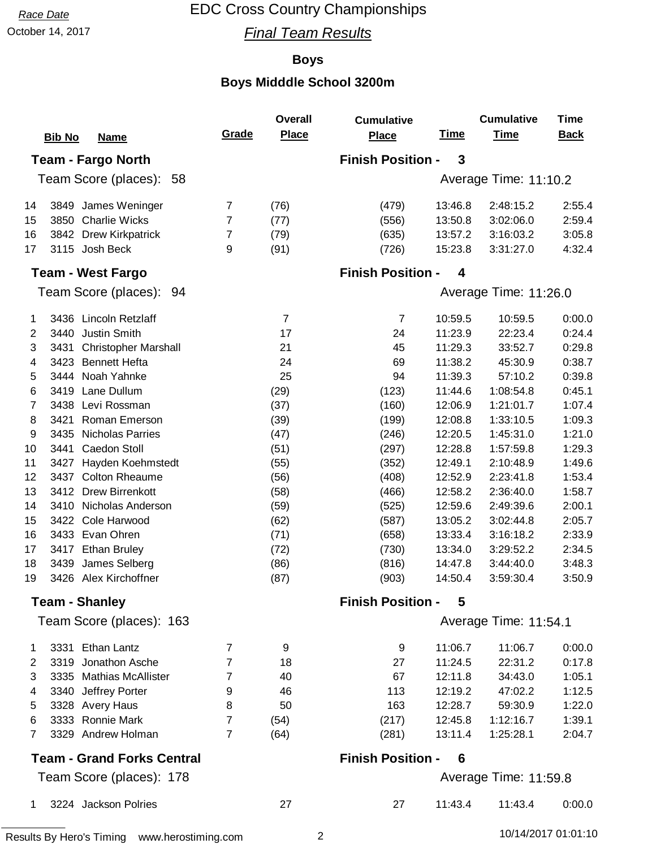October 14, 2017 **Final Team Results** 

### **Boys**

|    |                                                  |                | Overall        | <b>Cumulative</b>        |             | <b>Cumulative</b>     | <b>Time</b> |
|----|--------------------------------------------------|----------------|----------------|--------------------------|-------------|-----------------------|-------------|
|    | <b>Bib No</b><br><b>Name</b>                     | Grade          | <b>Place</b>   | <b>Place</b>             | <u>Time</u> | <b>Time</b>           | <b>Back</b> |
|    | <b>Team - Fargo North</b>                        |                |                | <b>Finish Position -</b> | 3           |                       |             |
|    | Team Score (places): 58<br>Average Time: 11:10.2 |                |                |                          |             |                       |             |
| 14 | 3849 James Weninger                              | $\overline{7}$ | (76)           | (479)                    | 13:46.8     | 2:48:15.2             | 2:55.4      |
| 15 | <b>Charlie Wicks</b><br>3850                     | 7              | (77)           | (556)                    | 13:50.8     | 3:02:06.0             | 2:59.4      |
| 16 | 3842<br><b>Drew Kirkpatrick</b>                  | 7              | (79)           | (635)                    | 13:57.2     | 3:16:03.2             | 3:05.8      |
| 17 | 3115 Josh Beck                                   | 9              | (91)           | (726)                    | 15:23.8     | 3:31:27.0             | 4:32.4      |
|    | <b>Team - West Fargo</b>                         |                |                | <b>Finish Position -</b> | 4           |                       |             |
|    | Team Score (places): 94                          |                |                |                          |             | Average Time: 11:26.0 |             |
| 1  | 3436 Lincoln Retzlaff                            |                | $\overline{7}$ | $\overline{7}$           | 10:59.5     | 10:59.5               | 0:00.0      |
| 2  | 3440<br><b>Justin Smith</b>                      |                | 17             | 24                       | 11:23.9     | 22:23.4               | 0:24.4      |
| 3  | 3431<br><b>Christopher Marshall</b>              |                | 21             | 45                       | 11:29.3     | 33:52.7               | 0:29.8      |
| 4  | <b>Bennett Hefta</b><br>3423                     |                | 24             | 69                       | 11:38.2     | 45:30.9               | 0:38.7      |
| 5  | Noah Yahnke<br>3444                              |                | 25             | 94                       | 11:39.3     | 57:10.2               | 0:39.8      |
| 6  | Lane Dullum<br>3419                              |                | (29)           | (123)                    | 11:44.6     | 1:08:54.8             | 0:45.1      |
| 7  | Levi Rossman<br>3438                             |                | (37)           | (160)                    | 12:06.9     | 1:21:01.7             | 1:07.4      |
| 8  | Roman Emerson<br>3421                            |                | (39)           | (199)                    | 12:08.8     | 1:33:10.5             | 1:09.3      |
| 9  | <b>Nicholas Parries</b><br>3435                  |                | (47)           | (246)                    | 12:20.5     | 1:45:31.0             | 1:21.0      |
| 10 | 3441<br>Caedon Stoll                             |                | (51)           | (297)                    | 12:28.8     | 1:57:59.8             | 1:29.3      |
| 11 | 3427<br>Hayden Koehmstedt                        |                | (55)           | (352)                    | 12:49.1     | 2:10:48.9             | 1:49.6      |
| 12 | <b>Colton Rheaume</b><br>3437                    |                | (56)           | (408)                    | 12:52.9     | 2:23:41.8             | 1:53.4      |
| 13 | <b>Drew Birrenkott</b><br>3412                   |                | (58)           | (466)                    | 12:58.2     | 2:36:40.0             | 1:58.7      |
| 14 | 3410<br>Nicholas Anderson                        |                | (59)           | (525)                    | 12:59.6     | 2:49:39.6             | 2:00.1      |
| 15 | Cole Harwood<br>3422                             |                | (62)           | (587)                    | 13:05.2     | 3:02:44.8             | 2:05.7      |
| 16 | Evan Ohren<br>3433                               |                | (71)           | (658)                    | 13:33.4     | 3:16:18.2             | 2:33.9      |
| 17 | <b>Ethan Bruley</b><br>3417                      |                | (72)           | (730)                    | 13:34.0     | 3:29:52.2             | 2:34.5      |
| 18 | 3439 James Selberg                               |                | (86)           | (816)                    | 14:47.8     | 3:44:40.0             | 3:48.3      |
| 19 | 3426 Alex Kirchoffner                            |                | (87)           | (903)                    | 14:50.4     | 3:59:30.4             | 3:50.9      |
|    | <b>Team - Shanley</b>                            |                |                | <b>Finish Position -</b> | 5           |                       |             |
|    | Team Score (places): 163                         |                |                |                          |             | Average Time: 11:54.1 |             |
| 1  | 3331 Ethan Lantz                                 | $\overline{7}$ | 9              | 9                        | 11:06.7     | 11:06.7               | 0:00.0      |
| 2  | 3319 Jonathon Asche                              | $\overline{7}$ | 18             | 27                       | 11:24.5     | 22:31.2               | 0:17.8      |
| 3  | 3335 Mathias McAllister                          | $\overline{7}$ | 40             | 67                       | 12:11.8     | 34:43.0               | 1:05.1      |
| 4  | 3340 Jeffrey Porter                              | 9              | 46             | 113                      | 12:19.2     | 47:02.2               | 1:12.5      |
| 5  | 3328 Avery Haus                                  | 8              | 50             | 163                      | 12:28.7     | 59:30.9               | 1:22.0      |
| 6  | 3333 Ronnie Mark                                 | $\overline{7}$ | (54)           | (217)                    | 12:45.8     | 1:12:16.7             | 1:39.1      |
| 7  | 3329 Andrew Holman                               | 7              | (64)           | (281)                    | 13:11.4     | 1:25:28.1             | 2:04.7      |
|    | <b>Team - Grand Forks Central</b>                |                |                | <b>Finish Position -</b> | 6           |                       |             |
|    | Team Score (places): 178                         |                |                |                          |             | Average Time: 11:59.8 |             |
| 1  | 3224 Jackson Polries                             |                | 27             | 27                       | 11:43.4     | 11:43.4               | 0:00.0      |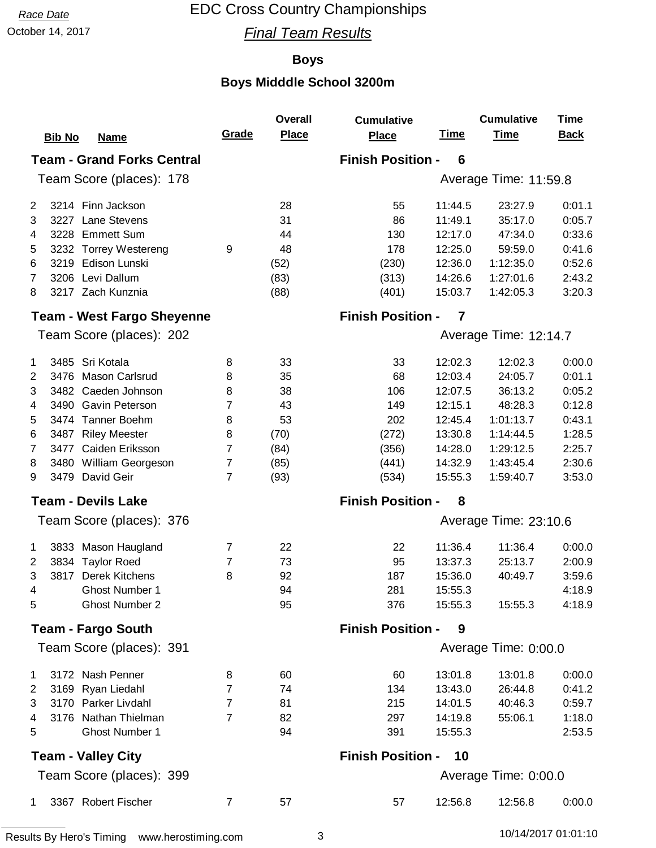## October 14, 2017 **Final Team Results**

### **Boys**

|                                                                    |                | <b>Overall</b> | <b>Cumulative</b>        |             | <b>Cumulative</b>     | <b>Time</b> |  |  |  |
|--------------------------------------------------------------------|----------------|----------------|--------------------------|-------------|-----------------------|-------------|--|--|--|
| <b>Bib No</b><br><b>Name</b>                                       | Grade          | <b>Place</b>   | Place                    | <u>Time</u> | <b>Time</b>           | <b>Back</b> |  |  |  |
| <b>Finish Position -</b><br><b>Team - Grand Forks Central</b><br>6 |                |                |                          |             |                       |             |  |  |  |
| Team Score (places): 178                                           |                |                |                          |             | Average Time: 11:59.8 |             |  |  |  |
| 3214 Finn Jackson<br>2                                             |                | 28             | 55                       | 11:44.5     | 23:27.9               | 0:01.1      |  |  |  |
| 3227 Lane Stevens<br>3                                             |                | 31             | 86                       | 11:49.1     | 35:17.0               | 0:05.7      |  |  |  |
| 3228 Emmett Sum<br>4                                               |                | 44             | 130                      | 12:17.0     | 47:34.0               | 0:33.6      |  |  |  |
| 3232 Torrey Westereng<br>5                                         | 9              | 48             | 178                      | 12:25.0     | 59:59.0               | 0:41.6      |  |  |  |
| 3219 Edison Lunski<br>6                                            |                | (52)           | (230)                    | 12:36.0     | 1:12:35.0             | 0:52.6      |  |  |  |
| 3206 Levi Dallum<br>7                                              |                | (83)           | (313)                    | 14:26.6     | 1:27:01.6             | 2:43.2      |  |  |  |
| 3217 Zach Kunznia<br>8                                             |                | (88)           | (401)                    | 15:03.7     | 1:42:05.3             | 3:20.3      |  |  |  |
| <b>Team - West Fargo Sheyenne</b>                                  |                |                | <b>Finish Position -</b> | 7           |                       |             |  |  |  |
| Team Score (places): 202                                           |                |                |                          |             | Average Time: 12:14.7 |             |  |  |  |
| 3485 Sri Kotala<br>1                                               | 8              | 33             | 33                       | 12:02.3     | 12:02.3               | 0:00.0      |  |  |  |
| 3476 Mason Carlsrud<br>$\overline{2}$                              | 8              | 35             | 68                       | 12:03.4     | 24:05.7               | 0:01.1      |  |  |  |
| 3482 Caeden Johnson<br>3                                           | 8              | 38             | 106                      | 12:07.5     | 36:13.2               | 0:05.2      |  |  |  |
| 3490 Gavin Peterson<br>4                                           | 7              | 43             | 149                      | 12:15.1     | 48:28.3               | 0:12.8      |  |  |  |
| 3474 Tanner Boehm<br>5                                             | 8              | 53             | 202                      | 12:45.4     | 1:01:13.7             | 0:43.1      |  |  |  |
| 6<br>3487 Riley Meester                                            | 8              | (70)           | (272)                    | 13:30.8     | 1:14:44.5             | 1:28.5      |  |  |  |
| 3477 Caiden Eriksson<br>7                                          | $\overline{7}$ | (84)           | (356)                    | 14:28.0     | 1:29:12.5             | 2:25.7      |  |  |  |
| 8<br>3480 William Georgeson                                        | $\overline{7}$ | (85)           | (441)                    | 14:32.9     | 1:43:45.4             | 2:30.6      |  |  |  |
| 3479 David Geir<br>9                                               | $\overline{7}$ | (93)           | (534)                    | 15:55.3     | 1:59:40.7             | 3:53.0      |  |  |  |
| <b>Team - Devils Lake</b>                                          |                |                | <b>Finish Position -</b> | 8           |                       |             |  |  |  |
| Team Score (places): 376                                           |                |                |                          |             | Average Time: 23:10.6 |             |  |  |  |
| 3833 Mason Haugland<br>1                                           | 7              | 22             | 22                       | 11:36.4     | 11:36.4               | 0:00.0      |  |  |  |
| $\overline{2}$<br>3834 Taylor Roed                                 | 7              | 73             | 95                       | 13:37.3     | 25:13.7               | 2:00.9      |  |  |  |
| 3<br><b>Derek Kitchens</b><br>3817                                 | 8              | 92             | 187                      | 15:36.0     | 40:49.7               | 3:59.6      |  |  |  |
| 4<br><b>Ghost Number 1</b>                                         |                | 94             | 281                      | 15:55.3     |                       | 4:18.9      |  |  |  |
| <b>Ghost Number 2</b><br>5                                         |                | 95             | 376                      | 15:55.3     | 15:55.3               | 4:18.9      |  |  |  |
| <b>Team - Fargo South</b>                                          |                |                | <b>Finish Position -</b> | 9           |                       |             |  |  |  |
| Team Score (places): 391                                           |                |                |                          |             | Average Time: 0:00.0  |             |  |  |  |
| 3172 Nash Penner<br>1                                              | 8              | 60             | 60                       | 13:01.8     | 13:01.8               | 0:00.0      |  |  |  |
| 3169 Ryan Liedahl<br>2                                             | $\overline{7}$ | 74             | 134                      | 13:43.0     | 26:44.8               | 0:41.2      |  |  |  |
| 3<br>3170 Parker Livdahl                                           | $\overline{7}$ | 81             | 215                      | 14:01.5     | 40:46.3               | 0:59.7      |  |  |  |
| 3176 Nathan Thielman<br>4                                          | 7              | 82             | 297                      | 14:19.8     | 55:06.1               | 1:18.0      |  |  |  |
| Ghost Number 1<br>5                                                |                | 94             | 391                      | 15:55.3     |                       | 2:53.5      |  |  |  |
| <b>Team - Valley City</b>                                          |                |                | <b>Finish Position -</b> | 10          |                       |             |  |  |  |
| Team Score (places): 399                                           |                |                |                          |             | Average Time: 0:00.0  |             |  |  |  |
| 3367 Robert Fischer<br>1                                           | $\overline{7}$ | 57             | 57                       | 12:56.8     | 12:56.8               | 0:00.0      |  |  |  |